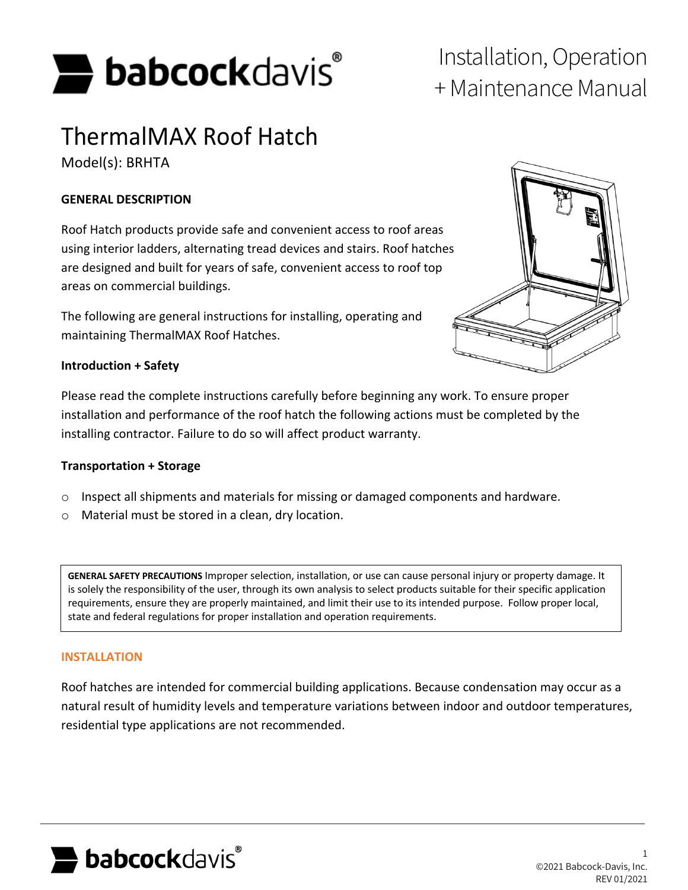

# + Maintenance Manual

# ThermalMAX Roof Hatch

Model(s): BRHTA

#### **GENERAL DESCRIPTION**

Roof Hatch products provide safe and convenient access to roof areas using interior ladders, alternating tread devices and stairs. Roof hatches are designed and built for years of safe, convenient access to roof top areas on commercial buildings.

The following are general instructions for installing, operating and maintaining ThermalMAX Roof Hatches.



#### **Introduction + Safety**

Please read the complete instructions carefully before beginning any work. To ensure proper installation and performance of the roof hatch the following actions must be completed by the installing contractor. Failure to do so will affect product warranty.

#### **Transportation + Storage**

- o Inspect all shipments and materials for missing or damaged components and hardware.
- o Material must be stored in a clean, dry location.

**GENERAL SAFETY PRECAUTIONS** Improper selection, installation, or use can cause personal injury or property damage. It is solely the responsibility of the user, through its own analysis to select products suitable for their specific application requirements, ensure they are properly maintained, and limit their use to its intended purpose. Follow proper local, state and federal regulations for proper installation and operation requirements.

#### **INSTALLATION**

Roof hatches are intended for commercial building applications. Because condensation may occur as a natural result of humidity levels and temperature variations between indoor and outdoor temperatures, residential type applications are not recommended.



1 ©2021 Babcock-Davis, Inc. REV 01/2021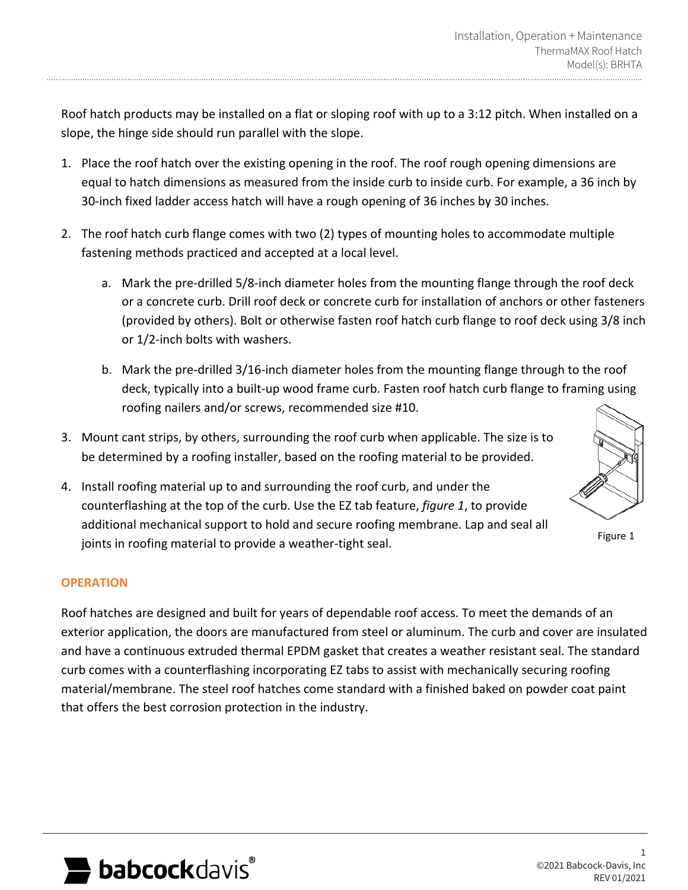Roof hatch products may be installed on a flat or sloping roof with up to a 3:12 pitch. When installed on a slope, the hinge side should run parallel with the slope.

- 1. Place the roof hatch over the existing opening in the roof. The roof rough opening dimensions are equal to hatch dimensions as measured from the inside curb to inside curb. For example, a 36 inch by 30-inch fixed ladder access hatch will have a rough opening of 36 inches by 30 inches.
- 2. The roof hatch curb flange comes with two (2) types of mounting holes to accommodate multiple fastening methods practiced and accepted at a local level.
	- a. Mark the pre-drilled 5/8-inch diameter holes from the mounting flange through the roof deck or a concrete curb. Drill roof deck or concrete curb for installation of anchors or other fasteners (provided by others). Bolt or otherwise fasten roof hatch curb flange to roof deck using 3/8 inch or 1/2-inch bolts with washers.
	- b. Mark the pre-drilled 3/16-inch diameter holes from the mounting flange through to the roof deck, typically into a built-up wood frame curb. Fasten roof hatch curb flange to framing using roofing nailers and/or screws, recommended size #10.
- 3. Mount cant strips, by others, surrounding the roof curb when applicable. The size is to be determined by a roofing installer, based on the roofing material to be provided.
- 4. Install roofing material up to and surrounding the roof curb, and under the counterflashing at the top of the curb. Use the EZ tab feature, *figure 1*, to provide additional mechanical support to hold and secure roofing membrane. Lap and seal all joints in roofing material to provide a weather-tight seal.

#### **OPERATION**

Roof hatches are designed and built for years of dependable roof access. To meet the demands of an exterior application, the doors are manufactured from steel or aluminum. The curb and cover are insulated and have a continuous extruded thermal EPDM gasket that creates a weather resistant seal. The standard curb comes with a counterflashing incorporating EZ tabs to assist with mechanically securing roofing material/membrane. The steel roof hatches come standard with a finished baked on powder coat paint that offers the best corrosion protection in the industry.



1 ©2021 Babcock-Davis, Inc REV 01/2021

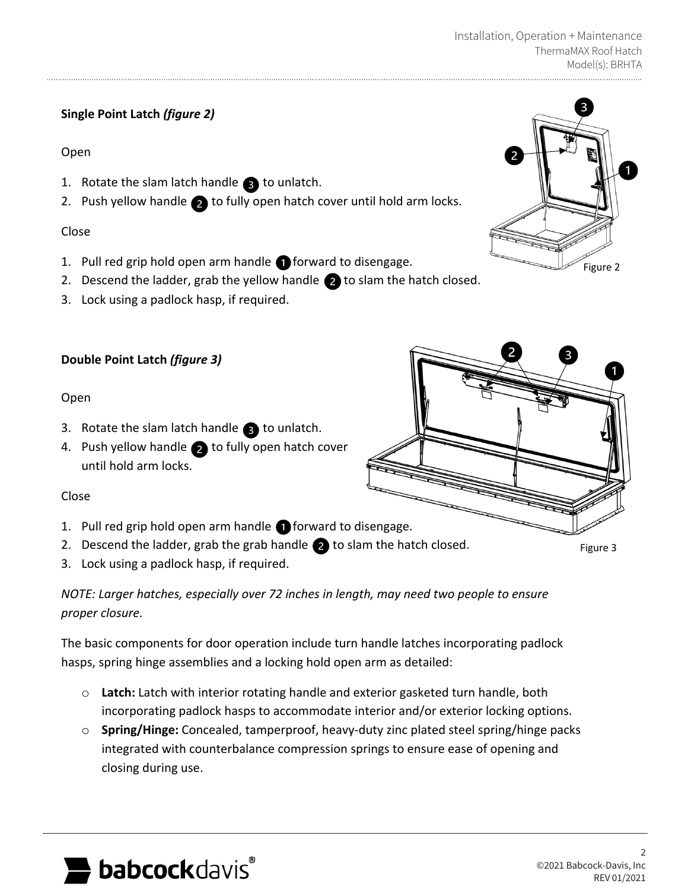# **Single Point Latch** *(figure 2)*

### Open

- 1. Rotate the slam latch handle  $\bullet$  to unlatch.
- 2. Push yellow handle  $\bullet$  to fully open hatch cover until hold arm locks.

### Close

- 1. Pull red grip hold open arm handle  $\bigcap$  forward to disengage.
- 2. Descend the ladder, grab the yellow handle  $\bullet$  to slam the hatch closed.
- 3. Lock using a padlock hasp, if required.

### **Double Point Latch** *(figure 3)*

### Open

- 3. Rotate the slam latch handle  $\bullet$  to unlatch.
- 4. Push yellow handle  $\bullet$  to fully open hatch cover until hold arm locks.

#### Close

- 1. Pull red grip hold open arm handle **forward to disengage.**
- 2. Descend the ladder, grab the grab handle  $\bullet$  to slam the hatch closed.
- 3. Lock using a padlock hasp, if required.

*NOTE: Larger hatches, especially over 72 inches in length, may need two people to ensure proper closure.*

The basic components for door operation include turn handle latches incorporating padlock hasps, spring hinge assemblies and a locking hold open arm as detailed:

- o **Latch:** Latch with interior rotating handle and exterior gasketed turn handle, both incorporating padlock hasps to accommodate interior and/or exterior locking options.
- o **Spring/Hinge:** Concealed, tamperproof, heavy-duty zinc plated steel spring/hinge packs integrated with counterbalance compression springs to ensure ease of opening and closing during use.